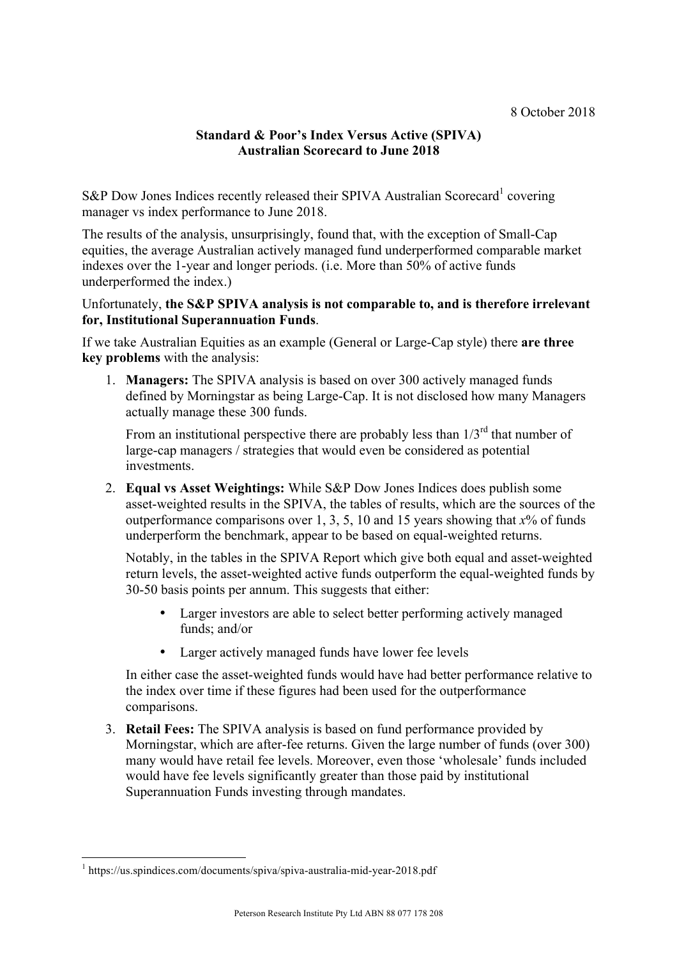## **Standard & Poor's Index Versus Active (SPIVA) Australian Scorecard to June 2018**

 $S\&P$  Dow Jones Indices recently released their SPIVA Australian Scorecard<sup>1</sup> covering manager vs index performance to June 2018.

The results of the analysis, unsurprisingly, found that, with the exception of Small-Cap equities, the average Australian actively managed fund underperformed comparable market indexes over the 1-year and longer periods. (i.e. More than 50% of active funds underperformed the index.)

## Unfortunately, **the S&P SPIVA analysis is not comparable to, and is therefore irrelevant for, Institutional Superannuation Funds**.

If we take Australian Equities as an example (General or Large-Cap style) there **are three key problems** with the analysis:

1. **Managers:** The SPIVA analysis is based on over 300 actively managed funds defined by Morningstar as being Large-Cap. It is not disclosed how many Managers actually manage these 300 funds.

From an institutional perspective there are probably less than  $1/3<sup>rd</sup>$  that number of large-cap managers / strategies that would even be considered as potential investments.

2. **Equal vs Asset Weightings:** While S&P Dow Jones Indices does publish some asset-weighted results in the SPIVA, the tables of results, which are the sources of the outperformance comparisons over 1, 3, 5, 10 and 15 years showing that *x*% of funds underperform the benchmark, appear to be based on equal-weighted returns.

Notably, in the tables in the SPIVA Report which give both equal and asset-weighted return levels, the asset-weighted active funds outperform the equal-weighted funds by 30-50 basis points per annum. This suggests that either:

- Larger investors are able to select better performing actively managed funds; and/or
- Larger actively managed funds have lower fee levels

In either case the asset-weighted funds would have had better performance relative to the index over time if these figures had been used for the outperformance comparisons.

3. **Retail Fees:** The SPIVA analysis is based on fund performance provided by Morningstar, which are after-fee returns. Given the large number of funds (over 300) many would have retail fee levels. Moreover, even those 'wholesale' funds included would have fee levels significantly greater than those paid by institutional Superannuation Funds investing through mandates.

 <sup>1</sup> https://us.spindices.com/documents/spiva/spiva-australia-mid-year-2018.pdf